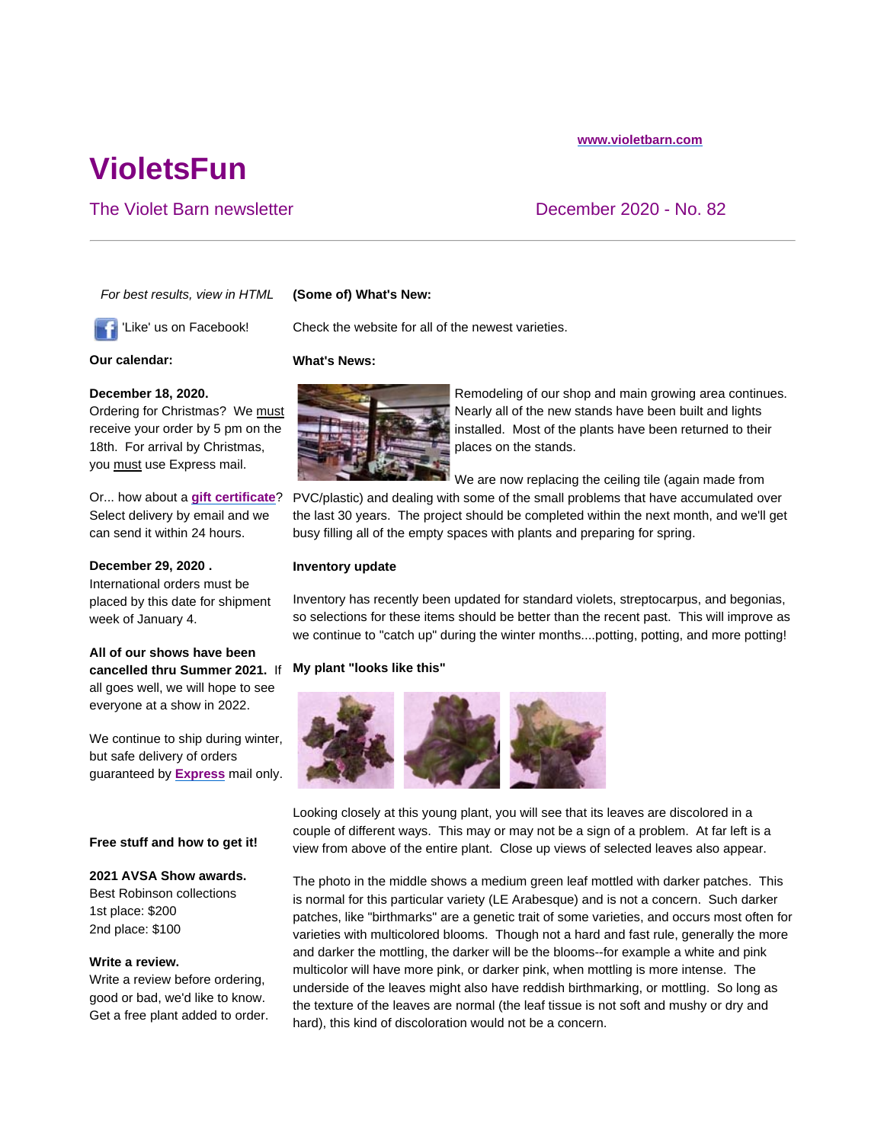# **VioletsFun**

# The Violet Barn newsletter **December 2020** - No. 82

*For best results, view in HTML*

# **(Some of) What's New:**

'Like' us on Facebook!

#### **Our calendar:**

## **December 18, 2020.**

Ordering for Christmas? We must receive your order by 5 pm on the 18th. For arrival by Christmas, you must use Express mail.

Or... how about a **gift certificate**? Select delivery by email and we can send it within 24 hours.

#### **December 29, 2020 .**

International orders must be placed by this date for shipment week of January 4.

# **All of our shows have been cancelled thru Summer 2021.** If all goes well, we will hope to see everyone at a show in 2022.

We continue to ship during winter, but safe delivery of orders guaranteed by **Express** mail only.

## **Free stuff and how to get it!**

## **2021 AVSA Show awards.**

Best Robinson collections 1st place: \$200 2nd place: \$100

## **Write a review.**

Write a review before ordering, good or bad, we'd like to know. Get a free plant added to order. Check the website for all of the newest varieties.

#### **What's News:**



Remodeling of our shop and main growing area continues. Nearly all of the new stands have been built and lights installed. Most of the plants have been returned to their places on the stands.

We are now replacing the ceiling tile (again made from

PVC/plastic) and dealing with some of the small problems that have accumulated over the last 30 years. The project should be completed within the next month, and we'll get busy filling all of the empty spaces with plants and preparing for spring.

#### **Inventory update**

Inventory has recently been updated for standard violets, streptocarpus, and begonias, so selections for these items should be better than the recent past. This will improve as we continue to "catch up" during the winter months....potting, potting, and more potting!

## **My plant "looks like this"**



Looking closely at this young plant, you will see that its leaves are discolored in a couple of different ways. This may or may not be a sign of a problem. At far left is a view from above of the entire plant. Close up views of selected leaves also appear.

The photo in the middle shows a medium green leaf mottled with darker patches. This is normal for this particular variety (LE Arabesque) and is not a concern. Such darker patches, like "birthmarks" are a genetic trait of some varieties, and occurs most often for varieties with multicolored blooms. Though not a hard and fast rule, generally the more and darker the mottling, the darker will be the blooms--for example a white and pink multicolor will have more pink, or darker pink, when mottling is more intense. The underside of the leaves might also have reddish birthmarking, or mottling. So long as the texture of the leaves are normal (the leaf tissue is not soft and mushy or dry and hard), this kind of discoloration would not be a concern.

#### **www.violetbarn.com**